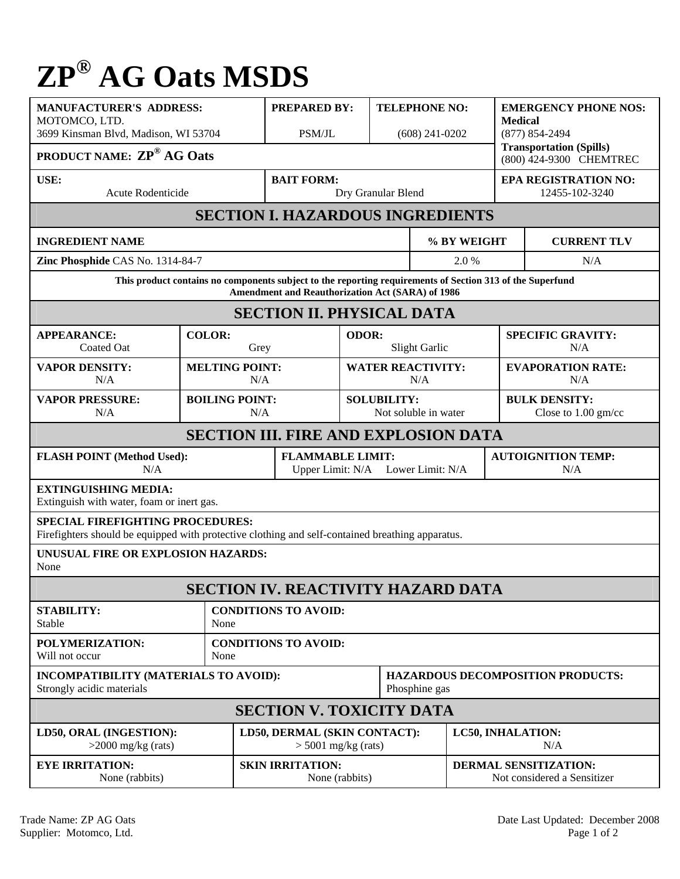## **ZP® AG Oats MSDS**

| <b>MANUFACTURER'S ADDRESS:</b><br>MOTOMCO, LTD.<br>3699 Kinsman Blvd, Madison, WI 53704                                                                       |                                         | <b>PREPARED BY:</b><br>PSM/JL                                |                                                           | <b>TELEPHONE NO:</b><br>$(608)$ 241-0202      |                                                             | <b>EMERGENCY PHONE NOS:</b><br><b>Medical</b><br>$(877) 854 - 2494$<br><b>Transportation (Spills)</b> |  |  |  |
|---------------------------------------------------------------------------------------------------------------------------------------------------------------|-----------------------------------------|--------------------------------------------------------------|-----------------------------------------------------------|-----------------------------------------------|-------------------------------------------------------------|-------------------------------------------------------------------------------------------------------|--|--|--|
| <b>PRODUCT NAME: ZP® AG Oats</b>                                                                                                                              |                                         |                                                              |                                                           |                                               |                                                             | (800) 424-9300 CHEMTREC                                                                               |  |  |  |
| USE:<br>Acute Rodenticide                                                                                                                                     | <b>BAIT FORM:</b><br>Dry Granular Blend |                                                              |                                                           | <b>EPA REGISTRATION NO:</b><br>12455-102-3240 |                                                             |                                                                                                       |  |  |  |
| <b>SECTION I. HAZARDOUS INGREDIENTS</b>                                                                                                                       |                                         |                                                              |                                                           |                                               |                                                             |                                                                                                       |  |  |  |
| <b>INGREDIENT NAME</b>                                                                                                                                        |                                         |                                                              | % BY WEIGHT                                               |                                               | <b>CURRENT TLV</b>                                          |                                                                                                       |  |  |  |
| Zinc Phosphide CAS No. 1314-84-7                                                                                                                              |                                         |                                                              | 2.0%                                                      |                                               |                                                             | N/A                                                                                                   |  |  |  |
| This product contains no components subject to the reporting requirements of Section 313 of the Superfund<br>Amendment and Reauthorization Act (SARA) of 1986 |                                         |                                                              |                                                           |                                               |                                                             |                                                                                                       |  |  |  |
| <b>SECTION II. PHYSICAL DATA</b>                                                                                                                              |                                         |                                                              |                                                           |                                               |                                                             |                                                                                                       |  |  |  |
| <b>APPEARANCE:</b><br><b>Coated Oat</b>                                                                                                                       | <b>COLOR:</b><br>Grey                   |                                                              | ODOR:<br>Slight Garlic                                    |                                               |                                                             | <b>SPECIFIC GRAVITY:</b><br>N/A                                                                       |  |  |  |
| <b>VAPOR DENSITY:</b><br>N/A                                                                                                                                  | <b>MELTING POINT:</b><br>N/A            |                                                              | <b>WATER REACTIVITY:</b><br>N/A                           |                                               |                                                             | <b>EVAPORATION RATE:</b><br>N/A                                                                       |  |  |  |
| <b>VAPOR PRESSURE:</b><br>N/A                                                                                                                                 | <b>BOILING POINT:</b>                   | N/A                                                          |                                                           | <b>SOLUBILITY:</b><br>Not soluble in water    |                                                             | <b>BULK DENSITY:</b><br>Close to $1.00$ gm/cc                                                         |  |  |  |
| <b>SECTION III. FIRE AND EXPLOSION DATA</b>                                                                                                                   |                                         |                                                              |                                                           |                                               |                                                             |                                                                                                       |  |  |  |
| <b>FLASH POINT (Method Used):</b><br>N/A                                                                                                                      |                                         | <b>FLAMMABLE LIMIT:</b><br>Upper Limit: N/A Lower Limit: N/A |                                                           |                                               | <b>AUTOIGNITION TEMP:</b><br>N/A                            |                                                                                                       |  |  |  |
| <b>EXTINGUISHING MEDIA:</b><br>Extinguish with water, foam or inert gas.                                                                                      |                                         |                                                              |                                                           |                                               |                                                             |                                                                                                       |  |  |  |
| <b>SPECIAL FIREFIGHTING PROCEDURES:</b><br>Firefighters should be equipped with protective clothing and self-contained breathing apparatus.                   |                                         |                                                              |                                                           |                                               |                                                             |                                                                                                       |  |  |  |
| UNUSUAL FIRE OR EXPLOSION HAZARDS:<br>None                                                                                                                    |                                         |                                                              |                                                           |                                               |                                                             |                                                                                                       |  |  |  |
| <b>SECTION IV. REACTIVITY HAZARD DATA</b>                                                                                                                     |                                         |                                                              |                                                           |                                               |                                                             |                                                                                                       |  |  |  |
| <b>STABILITY:</b><br>Stable                                                                                                                                   | None                                    | <b>CONDITIONS TO AVOID:</b>                                  |                                                           |                                               |                                                             |                                                                                                       |  |  |  |
| POLYMERIZATION:<br>Will not occur                                                                                                                             | None                                    | <b>CONDITIONS TO AVOID:</b>                                  |                                                           |                                               |                                                             |                                                                                                       |  |  |  |
| INCOMPATIBILITY (MATERIALS TO AVOID):<br>Strongly acidic materials                                                                                            |                                         |                                                              | <b>HAZARDOUS DECOMPOSITION PRODUCTS:</b><br>Phosphine gas |                                               |                                                             |                                                                                                       |  |  |  |
| <b>SECTION V. TOXICITY DATA</b>                                                                                                                               |                                         |                                                              |                                                           |                                               |                                                             |                                                                                                       |  |  |  |
| LD50, ORAL (INGESTION):<br>$>2000$ mg/kg (rats)                                                                                                               |                                         | LD50, DERMAL (SKIN CONTACT):<br>$>$ 5001 mg/kg (rats)        |                                                           | <b>LC50, INHALATION:</b><br>N/A               |                                                             |                                                                                                       |  |  |  |
| <b>EYE IRRITATION:</b><br>None (rabbits)                                                                                                                      |                                         | <b>SKIN IRRITATION:</b><br>None (rabbits)                    |                                                           |                                               | <b>DERMAL SENSITIZATION:</b><br>Not considered a Sensitizer |                                                                                                       |  |  |  |